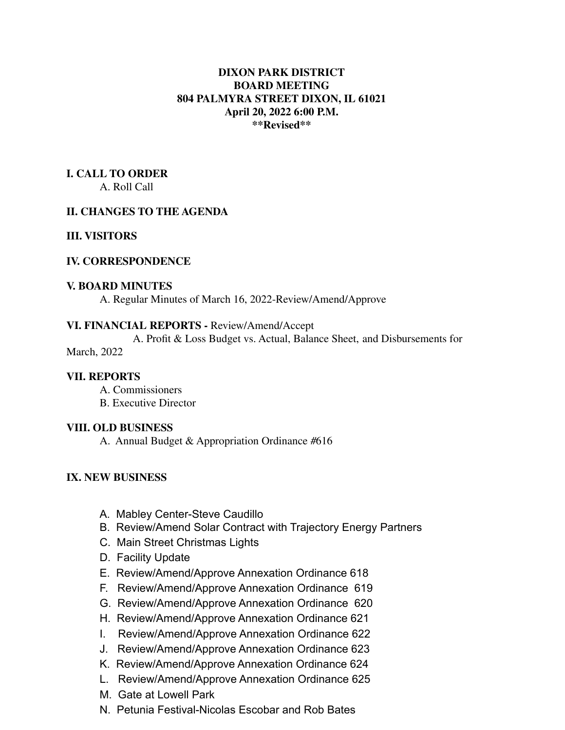## **DIXON PARK DISTRICT BOARD MEETING 804 PALMYRA STREET DIXON, IL 61021 April 20, 2022 6:00 P.M. \*\*Revised\*\***

# **I. CALL TO ORDER**

A. Roll Call

### **II. CHANGES TO THE AGENDA**

### **III. VISITORS**

### **IV. CORRESPONDENCE**

#### **V. BOARD MINUTES**

A. Regular Minutes of March 16, 2022-Review/Amend/Approve

#### **VI. FINANCIAL REPORTS -** Review/Amend/Accept

A. Profit & Loss Budget vs. Actual, Balance Sheet, and Disbursements for

March, 2022

#### **VII. REPORTS**

A. Commissioners

B. Executive Director

### **VIII. OLD BUSINESS**

A. Annual Budget & Appropriation Ordinance #616

#### **IX. NEW BUSINESS**

- A. Mabley Center-Steve Caudillo
- B. Review/Amend Solar Contract with Trajectory Energy Partners
- C. Main Street Christmas Lights
- D. Facility Update
- E. Review/Amend/Approve Annexation Ordinance 618
- F. Review/Amend/Approve Annexation Ordinance 619
- G. Review/Amend/Approve Annexation Ordinance 620
- H. Review/Amend/Approve Annexation Ordinance 621
- I. Review/Amend/Approve Annexation Ordinance 622
- J. Review/Amend/Approve Annexation Ordinance 623
- K. Review/Amend/Approve Annexation Ordinance 624
- L. Review/Amend/Approve Annexation Ordinance 625
- M. Gate at Lowell Park
- N. Petunia Festival-Nicolas Escobar and Rob Bates